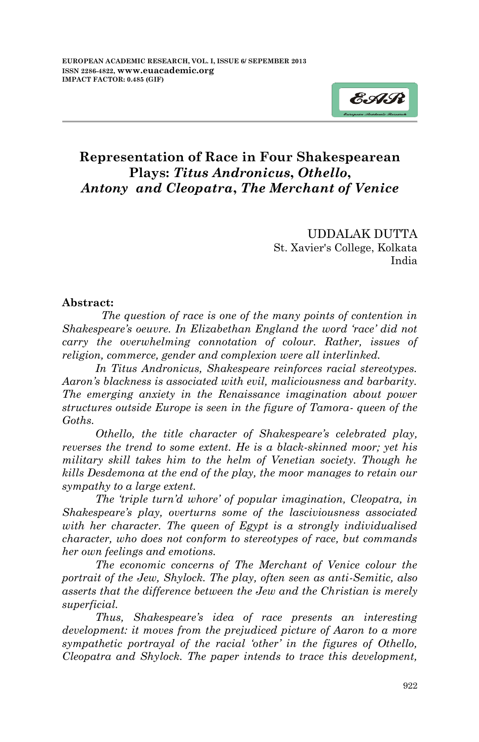

UDDALAK DUTTA St. Xavier's College, Kolkata India

## **Abstract:**

*The question of race is one of the many points of contention in Shakespeare's oeuvre. In Elizabethan England the word 'race' did not carry the overwhelming connotation of colour. Rather, issues of religion, commerce, gender and complexion were all interlinked.* 

 *In Titus Andronicus, Shakespeare reinforces racial stereotypes. Aaron's blackness is associated with evil, maliciousness and barbarity. The emerging anxiety in the Renaissance imagination about power structures outside Europe is seen in the figure of Tamora- queen of the Goths.* 

 *Othello, the title character of Shakespeare's celebrated play, reverses the trend to some extent. He is a black-skinned moor; yet his military skill takes him to the helm of Venetian society. Though he kills Desdemona at the end of the play, the moor manages to retain our sympathy to a large extent.*

 *The 'triple turn'd whore' of popular imagination, Cleopatra, in Shakespeare's play, overturns some of the lasciviousness associated with her character. The queen of Egypt is a strongly individualised character, who does not conform to stereotypes of race, but commands her own feelings and emotions.* 

 *The economic concerns of The Merchant of Venice colour the portrait of the Jew, Shylock. The play, often seen as anti-Semitic, also asserts that the difference between the Jew and the Christian is merely superficial.*

 *Thus, Shakespeare's idea of race presents an interesting development: it moves from the prejudiced picture of Aaron to a more sympathetic portrayal of the racial 'other' in the figures of Othello, Cleopatra and Shylock. The paper intends to trace this development,*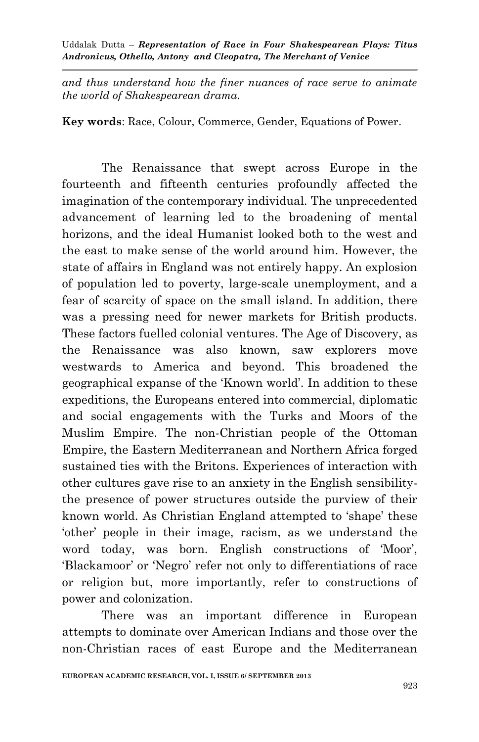*and thus understand how the finer nuances of race serve to animate the world of Shakespearean drama.*

**Key words**: Race, Colour, Commerce, Gender, Equations of Power.

The Renaissance that swept across Europe in the fourteenth and fifteenth centuries profoundly affected the imagination of the contemporary individual. The unprecedented advancement of learning led to the broadening of mental horizons, and the ideal Humanist looked both to the west and the east to make sense of the world around him. However, the state of affairs in England was not entirely happy. An explosion of population led to poverty, large-scale unemployment, and a fear of scarcity of space on the small island. In addition, there was a pressing need for newer markets for British products. These factors fuelled colonial ventures. The Age of Discovery, as the Renaissance was also known, saw explorers move westwards to America and beyond. This broadened the geographical expanse of the "Known world". In addition to these expeditions, the Europeans entered into commercial, diplomatic and social engagements with the Turks and Moors of the Muslim Empire. The non-Christian people of the Ottoman Empire, the Eastern Mediterranean and Northern Africa forged sustained ties with the Britons. Experiences of interaction with other cultures gave rise to an anxiety in the English sensibilitythe presence of power structures outside the purview of their known world. As Christian England attempted to "shape" these "other" people in their image, racism, as we understand the word today, was born. English constructions of 'Moor', 'Blackamoor' or 'Negro' refer not only to differentiations of race or religion but, more importantly, refer to constructions of power and colonization.

There was an important difference in European attempts to dominate over American Indians and those over the non-Christian races of east Europe and the Mediterranean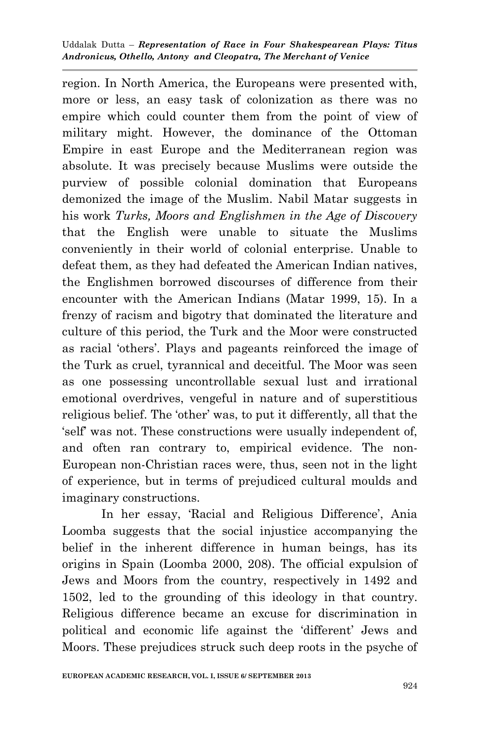region. In North America, the Europeans were presented with, more or less, an easy task of colonization as there was no empire which could counter them from the point of view of military might. However, the dominance of the Ottoman Empire in east Europe and the Mediterranean region was absolute. It was precisely because Muslims were outside the purview of possible colonial domination that Europeans demonized the image of the Muslim. Nabil Matar suggests in his work *Turks, Moors and Englishmen in the Age of Discovery* that the English were unable to situate the Muslims conveniently in their world of colonial enterprise. Unable to defeat them, as they had defeated the American Indian natives, the Englishmen borrowed discourses of difference from their encounter with the American Indians (Matar 1999, 15). In a frenzy of racism and bigotry that dominated the literature and culture of this period, the Turk and the Moor were constructed as racial "others". Plays and pageants reinforced the image of the Turk as cruel, tyrannical and deceitful. The Moor was seen as one possessing uncontrollable sexual lust and irrational emotional overdrives, vengeful in nature and of superstitious religious belief. The "other" was, to put it differently, all that the "self" was not. These constructions were usually independent of, and often ran contrary to, empirical evidence. The non-European non-Christian races were, thus, seen not in the light of experience, but in terms of prejudiced cultural moulds and imaginary constructions.

In her essay, 'Racial and Religious Difference', Ania Loomba suggests that the social injustice accompanying the belief in the inherent difference in human beings, has its origins in Spain (Loomba 2000, 208). The official expulsion of Jews and Moors from the country, respectively in 1492 and 1502, led to the grounding of this ideology in that country. Religious difference became an excuse for discrimination in political and economic life against the "different" Jews and Moors. These prejudices struck such deep roots in the psyche of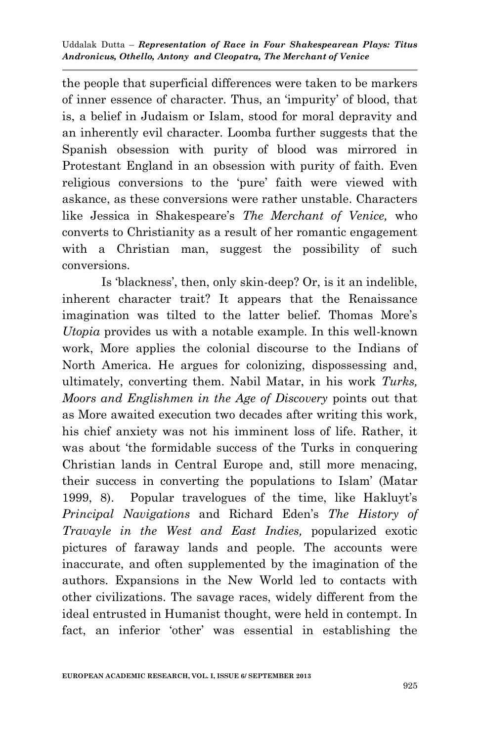the people that superficial differences were taken to be markers of inner essence of character. Thus, an "impurity" of blood, that is, a belief in Judaism or Islam, stood for moral depravity and an inherently evil character. Loomba further suggests that the Spanish obsession with purity of blood was mirrored in Protestant England in an obsession with purity of faith. Even religious conversions to the 'pure' faith were viewed with askance, as these conversions were rather unstable. Characters like Jessica in Shakespeare"s *The Merchant of Venice,* who converts to Christianity as a result of her romantic engagement with a Christian man, suggest the possibility of such conversions.

Is 'blackness', then, only skin-deep? Or, is it an indelible, inherent character trait? It appears that the Renaissance imagination was tilted to the latter belief. Thomas More"s *Utopia* provides us with a notable example. In this well-known work, More applies the colonial discourse to the Indians of North America. He argues for colonizing, dispossessing and, ultimately, converting them. Nabil Matar, in his work *Turks, Moors and Englishmen in the Age of Discovery* points out that as More awaited execution two decades after writing this work, his chief anxiety was not his imminent loss of life. Rather, it was about 'the formidable success of the Turks in conquering Christian lands in Central Europe and, still more menacing, their success in converting the populations to Islam" (Matar 1999, 8). Popular travelogues of the time, like Hakluyt"s *Principal Navigations* and Richard Eden"s *The History of Travayle in the West and East Indies,* popularized exotic pictures of faraway lands and people. The accounts were inaccurate, and often supplemented by the imagination of the authors. Expansions in the New World led to contacts with other civilizations. The savage races, widely different from the ideal entrusted in Humanist thought, were held in contempt. In fact, an inferior "other" was essential in establishing the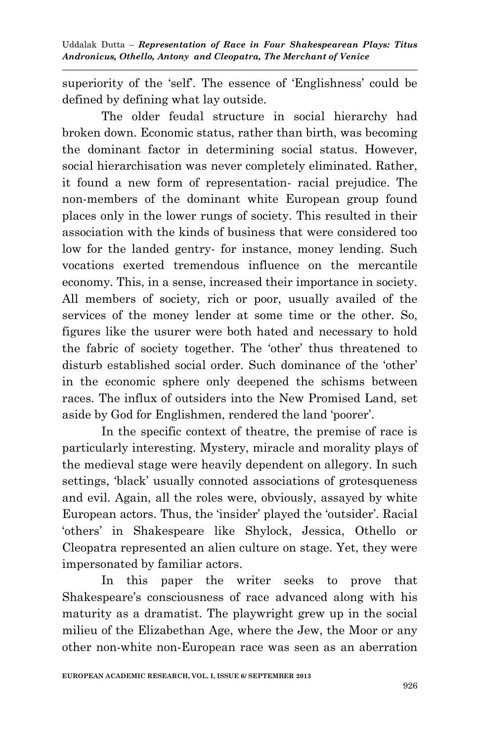superiority of the 'self'. The essence of 'Englishness' could be defined by defining what lay outside.

The older feudal structure in social hierarchy had broken down. Economic status, rather than birth, was becoming the dominant factor in determining social status. However, social hierarchisation was never completely eliminated. Rather, it found a new form of representation- racial prejudice. The non-members of the dominant white European group found places only in the lower rungs of society. This resulted in their association with the kinds of business that were considered too low for the landed gentry- for instance, money lending. Such vocations exerted tremendous influence on the mercantile economy. This, in a sense, increased their importance in society. All members of society*,* rich or poor, usually availed of the services of the money lender at some time or the other. So, figures like the usurer were both hated and necessary to hold the fabric of society together. The "other" thus threatened to disturb established social order. Such dominance of the "other" in the economic sphere only deepened the schisms between races. The influx of outsiders into the New Promised Land, set aside by God for Englishmen, rendered the land 'poorer'.

In the specific context of theatre, the premise of race is particularly interesting. Mystery, miracle and morality plays of the medieval stage were heavily dependent on allegory. In such settings, 'black' usually connoted associations of grotesqueness and evil. Again, all the roles were, obviously, assayed by white European actors. Thus, the "insider" played the "outsider". Racial "others" in Shakespeare like Shylock, Jessica, Othello or Cleopatra represented an alien culture on stage. Yet, they were impersonated by familiar actors.

In this paper the writer seeks to prove that Shakespeare's consciousness of race advanced along with his maturity as a dramatist. The playwright grew up in the social milieu of the Elizabethan Age, where the Jew, the Moor or any other non-white non-European race was seen as an aberration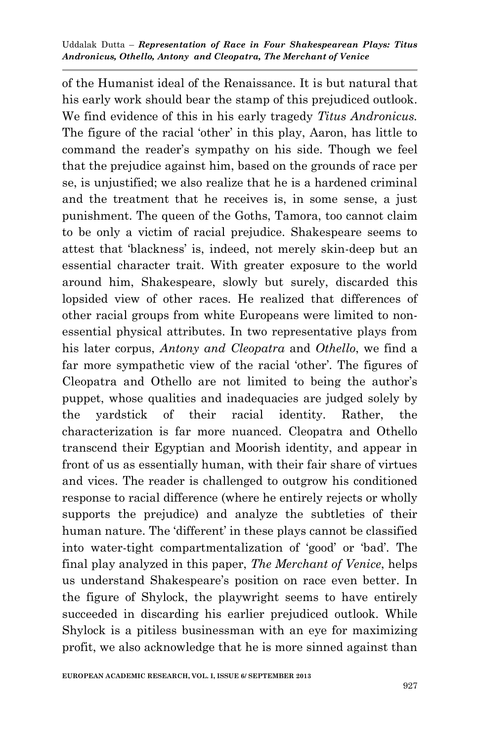of the Humanist ideal of the Renaissance. It is but natural that his early work should bear the stamp of this prejudiced outlook. We find evidence of this in his early tragedy *Titus Andronicus.*  The figure of the racial 'other' in this play, Aaron, has little to command the reader"s sympathy on his side. Though we feel that the prejudice against him, based on the grounds of race per se, is unjustified; we also realize that he is a hardened criminal and the treatment that he receives is, in some sense, a just punishment. The queen of the Goths, Tamora, too cannot claim to be only a victim of racial prejudice. Shakespeare seems to attest that "blackness" is, indeed, not merely skin-deep but an essential character trait. With greater exposure to the world around him, Shakespeare, slowly but surely, discarded this lopsided view of other races. He realized that differences of other racial groups from white Europeans were limited to nonessential physical attributes. In two representative plays from his later corpus, *Antony and Cleopatra* and *Othello*, we find a far more sympathetic view of the racial 'other'. The figures of Cleopatra and Othello are not limited to being the author's puppet, whose qualities and inadequacies are judged solely by the yardstick of their racial identity. Rather, the characterization is far more nuanced. Cleopatra and Othello transcend their Egyptian and Moorish identity, and appear in front of us as essentially human, with their fair share of virtues and vices. The reader is challenged to outgrow his conditioned response to racial difference (where he entirely rejects or wholly supports the prejudice) and analyze the subtleties of their human nature. The 'different' in these plays cannot be classified into water-tight compartmentalization of "good" or "bad". The final play analyzed in this paper, *The Merchant of Venice*, helps us understand Shakespeare"s position on race even better. In the figure of Shylock, the playwright seems to have entirely succeeded in discarding his earlier prejudiced outlook. While Shylock is a pitiless businessman with an eye for maximizing profit, we also acknowledge that he is more sinned against than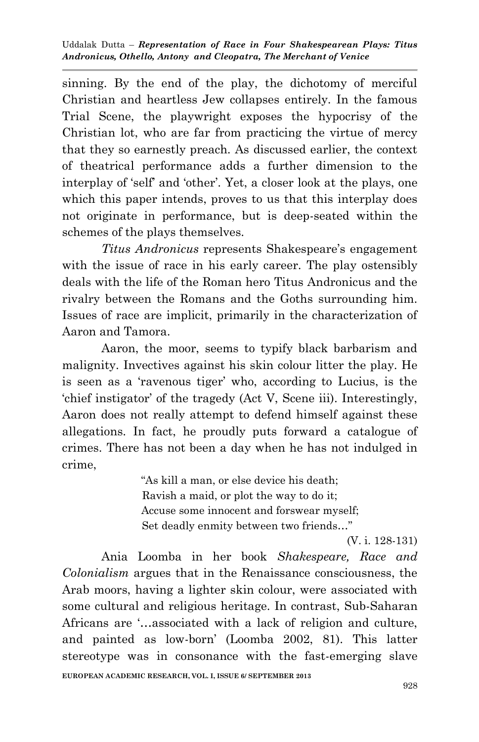sinning. By the end of the play, the dichotomy of merciful Christian and heartless Jew collapses entirely. In the famous Trial Scene, the playwright exposes the hypocrisy of the Christian lot, who are far from practicing the virtue of mercy that they so earnestly preach. As discussed earlier, the context of theatrical performance adds a further dimension to the interplay of "self" and "other". Yet, a closer look at the plays, one which this paper intends, proves to us that this interplay does not originate in performance, but is deep-seated within the schemes of the plays themselves.

*Titus Andronicus* represents Shakespeare"s engagement with the issue of race in his early career. The play ostensibly deals with the life of the Roman hero Titus Andronicus and the rivalry between the Romans and the Goths surrounding him. Issues of race are implicit, primarily in the characterization of Aaron and Tamora.

Aaron, the moor, seems to typify black barbarism and malignity. Invectives against his skin colour litter the play. He is seen as a "ravenous tiger" who, according to Lucius, is the "chief instigator" of the tragedy (Act V, Scene iii). Interestingly, Aaron does not really attempt to defend himself against these allegations. In fact, he proudly puts forward a catalogue of crimes. There has not been a day when he has not indulged in crime,

> "As kill a man, or else device his death; Ravish a maid, or plot the way to do it; Accuse some innocent and forswear myself; Set deadly enmity between two friends…"

> > (V. i. 128-131)

**EUROPEAN ACADEMIC RESEARCH, VOL. I, ISSUE 6/ SEPTEMBER 2013** Ania Loomba in her book *Shakespeare, Race and Colonialism* argues that in the Renaissance consciousness, the Arab moors, having a lighter skin colour, were associated with some cultural and religious heritage. In contrast, Sub-Saharan Africans are "...associated with a lack of religion and culture, and painted as low-born" (Loomba 2002, 81). This latter stereotype was in consonance with the fast-emerging slave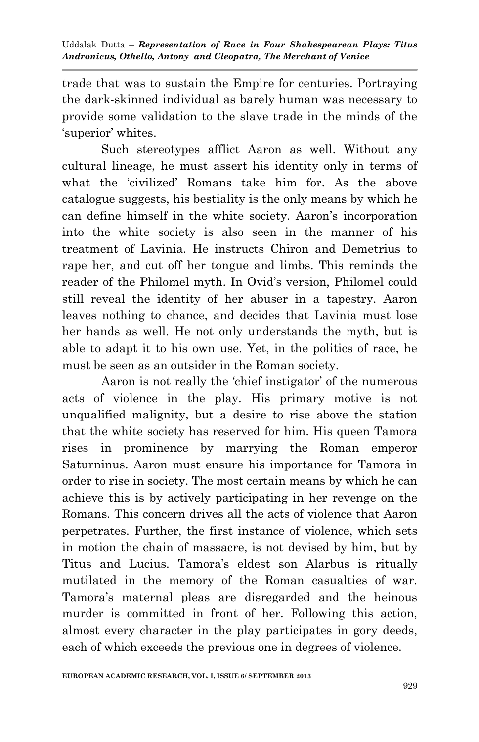trade that was to sustain the Empire for centuries. Portraying the dark-skinned individual as barely human was necessary to provide some validation to the slave trade in the minds of the 'superior' whites.

Such stereotypes afflict Aaron as well. Without any cultural lineage, he must assert his identity only in terms of what the "civilized" Romans take him for. As the above catalogue suggests, his bestiality is the only means by which he can define himself in the white society. Aaron"s incorporation into the white society is also seen in the manner of his treatment of Lavinia. He instructs Chiron and Demetrius to rape her, and cut off her tongue and limbs. This reminds the reader of the Philomel myth. In Ovid"s version, Philomel could still reveal the identity of her abuser in a tapestry. Aaron leaves nothing to chance, and decides that Lavinia must lose her hands as well. He not only understands the myth, but is able to adapt it to his own use. Yet, in the politics of race, he must be seen as an outsider in the Roman society.

Aaron is not really the 'chief instigator' of the numerous acts of violence in the play. His primary motive is not unqualified malignity, but a desire to rise above the station that the white society has reserved for him. His queen Tamora rises in prominence by marrying the Roman emperor Saturninus. Aaron must ensure his importance for Tamora in order to rise in society. The most certain means by which he can achieve this is by actively participating in her revenge on the Romans. This concern drives all the acts of violence that Aaron perpetrates. Further, the first instance of violence, which sets in motion the chain of massacre, is not devised by him, but by Titus and Lucius. Tamora"s eldest son Alarbus is ritually mutilated in the memory of the Roman casualties of war. Tamora"s maternal pleas are disregarded and the heinous murder is committed in front of her. Following this action, almost every character in the play participates in gory deeds, each of which exceeds the previous one in degrees of violence.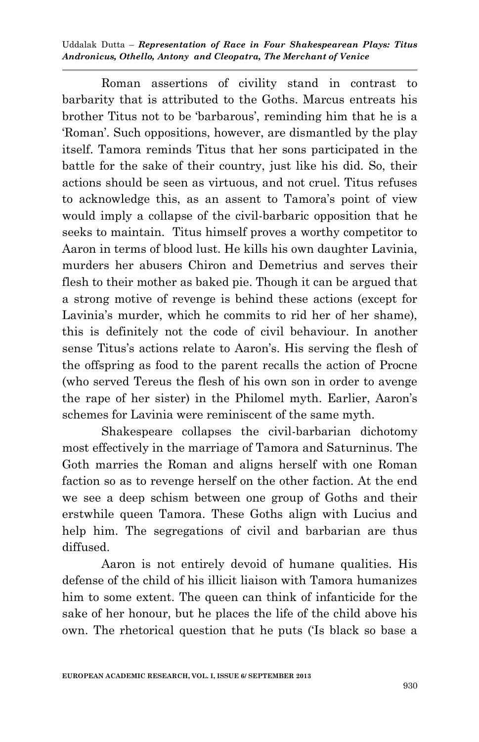Roman assertions of civility stand in contrast to barbarity that is attributed to the Goths. Marcus entreats his brother Titus not to be 'barbarous', reminding him that he is a "Roman". Such oppositions, however, are dismantled by the play itself. Tamora reminds Titus that her sons participated in the battle for the sake of their country, just like his did. So, their actions should be seen as virtuous, and not cruel. Titus refuses to acknowledge this, as an assent to Tamora"s point of view would imply a collapse of the civil-barbaric opposition that he seeks to maintain. Titus himself proves a worthy competitor to Aaron in terms of blood lust. He kills his own daughter Lavinia, murders her abusers Chiron and Demetrius and serves their flesh to their mother as baked pie. Though it can be argued that a strong motive of revenge is behind these actions (except for Lavinia's murder, which he commits to rid her of her shame), this is definitely not the code of civil behaviour. In another sense Titus's actions relate to Aaron's. His serving the flesh of the offspring as food to the parent recalls the action of Procne (who served Tereus the flesh of his own son in order to avenge the rape of her sister) in the Philomel myth. Earlier, Aaron"s schemes for Lavinia were reminiscent of the same myth.

Shakespeare collapses the civil-barbarian dichotomy most effectively in the marriage of Tamora and Saturninus. The Goth marries the Roman and aligns herself with one Roman faction so as to revenge herself on the other faction. At the end we see a deep schism between one group of Goths and their erstwhile queen Tamora. These Goths align with Lucius and help him. The segregations of civil and barbarian are thus diffused.

Aaron is not entirely devoid of humane qualities. His defense of the child of his illicit liaison with Tamora humanizes him to some extent. The queen can think of infanticide for the sake of her honour, but he places the life of the child above his own. The rhetorical question that he puts ("Is black so base a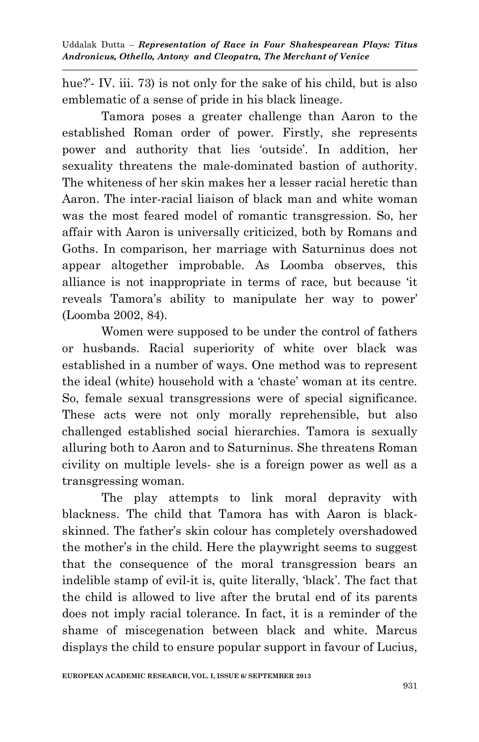hue?'- IV. iii. 73) is not only for the sake of his child, but is also emblematic of a sense of pride in his black lineage.

Tamora poses a greater challenge than Aaron to the established Roman order of power. Firstly, she represents power and authority that lies "outside". In addition, her sexuality threatens the male-dominated bastion of authority. The whiteness of her skin makes her a lesser racial heretic than Aaron. The inter-racial liaison of black man and white woman was the most feared model of romantic transgression. So, her affair with Aaron is universally criticized, both by Romans and Goths. In comparison, her marriage with Saturninus does not appear altogether improbable. As Loomba observes, this alliance is not inappropriate in terms of race, but because "it reveals Tamora's ability to manipulate her way to power' (Loomba 2002, 84).

Women were supposed to be under the control of fathers or husbands. Racial superiority of white over black was established in a number of ways. One method was to represent the ideal (white) household with a "chaste" woman at its centre. So, female sexual transgressions were of special significance. These acts were not only morally reprehensible, but also challenged established social hierarchies. Tamora is sexually alluring both to Aaron and to Saturninus. She threatens Roman civility on multiple levels- she is a foreign power as well as a transgressing woman.

The play attempts to link moral depravity with blackness. The child that Tamora has with Aaron is blackskinned. The father"s skin colour has completely overshadowed the mother"s in the child. Here the playwright seems to suggest that the consequence of the moral transgression bears an indelible stamp of evil-it is, quite literally, "black". The fact that the child is allowed to live after the brutal end of its parents does not imply racial tolerance. In fact, it is a reminder of the shame of miscegenation between black and white. Marcus displays the child to ensure popular support in favour of Lucius,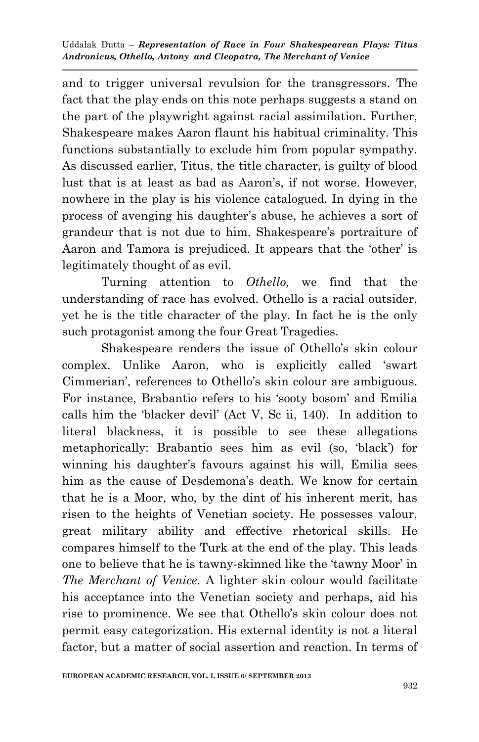and to trigger universal revulsion for the transgressors. The fact that the play ends on this note perhaps suggests a stand on the part of the playwright against racial assimilation. Further, Shakespeare makes Aaron flaunt his habitual criminality. This functions substantially to exclude him from popular sympathy. As discussed earlier, Titus, the title character, is guilty of blood lust that is at least as bad as Aaron's, if not worse. However, nowhere in the play is his violence catalogued. In dying in the process of avenging his daughter"s abuse, he achieves a sort of grandeur that is not due to him. Shakespeare"s portraiture of Aaron and Tamora is prejudiced. It appears that the 'other' is legitimately thought of as evil.

Turning attention to *Othello,* we find that the understanding of race has evolved. Othello is a racial outsider, yet he is the title character of the play. In fact he is the only such protagonist among the four Great Tragedies.

Shakespeare renders the issue of Othello"s skin colour complex. Unlike Aaron, who is explicitly called "swart Cimmerian', references to Othello's skin colour are ambiguous. For instance, Brabantio refers to his "sooty bosom" and Emilia calls him the "blacker devil" (Act V, Sc ii, 140). In addition to literal blackness, it is possible to see these allegations metaphorically: Brabantio sees him as evil (so, "black") for winning his daughter's favours against his will, Emilia sees him as the cause of Desdemona's death. We know for certain that he is a Moor, who, by the dint of his inherent merit, has risen to the heights of Venetian society. He possesses valour, great military ability and effective rhetorical skills. He compares himself to the Turk at the end of the play. This leads one to believe that he is tawny-skinned like the "tawny Moor" in *The Merchant of Venice.* A lighter skin colour would facilitate his acceptance into the Venetian society and perhaps, aid his rise to prominence. We see that Othello"s skin colour does not permit easy categorization. His external identity is not a literal factor, but a matter of social assertion and reaction. In terms of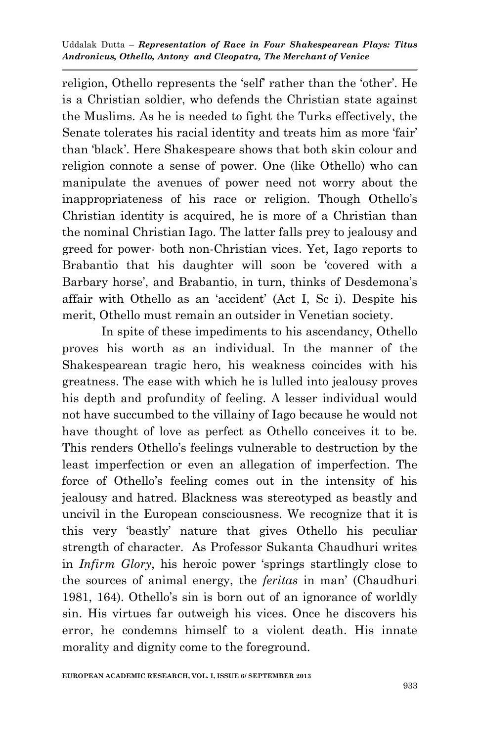religion, Othello represents the 'self' rather than the 'other'. He is a Christian soldier, who defends the Christian state against the Muslims. As he is needed to fight the Turks effectively, the Senate tolerates his racial identity and treats him as more 'fair' than "black". Here Shakespeare shows that both skin colour and religion connote a sense of power. One (like Othello) who can manipulate the avenues of power need not worry about the inappropriateness of his race or religion. Though Othello"s Christian identity is acquired, he is more of a Christian than the nominal Christian Iago. The latter falls prey to jealousy and greed for power- both non-Christian vices. Yet, Iago reports to Brabantio that his daughter will soon be "covered with a Barbary horse', and Brabantio, in turn, thinks of Desdemona's affair with Othello as an "accident" (Act I, Sc i). Despite his merit, Othello must remain an outsider in Venetian society.

In spite of these impediments to his ascendancy, Othello proves his worth as an individual. In the manner of the Shakespearean tragic hero, his weakness coincides with his greatness. The ease with which he is lulled into jealousy proves his depth and profundity of feeling. A lesser individual would not have succumbed to the villainy of Iago because he would not have thought of love as perfect as Othello conceives it to be. This renders Othello"s feelings vulnerable to destruction by the least imperfection or even an allegation of imperfection. The force of Othello"s feeling comes out in the intensity of his jealousy and hatred. Blackness was stereotyped as beastly and uncivil in the European consciousness. We recognize that it is this very "beastly" nature that gives Othello his peculiar strength of character. As Professor Sukanta Chaudhuri writes in *Infirm Glory*, his heroic power "springs startlingly close to the sources of animal energy, the *feritas* in man" (Chaudhuri 1981, 164). Othello"s sin is born out of an ignorance of worldly sin. His virtues far outweigh his vices. Once he discovers his error, he condemns himself to a violent death. His innate morality and dignity come to the foreground.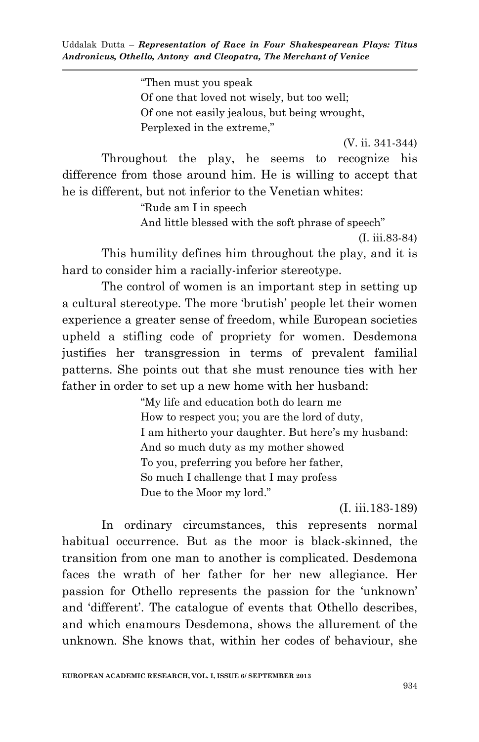"Then must you speak Of one that loved not wisely, but too well; Of one not easily jealous, but being wrought, Perplexed in the extreme,"

(V. ii. 341-344)

Throughout the play, he seems to recognize his difference from those around him. He is willing to accept that he is different, but not inferior to the Venetian whites:

> "Rude am I in speech And little blessed with the soft phrase of speech"

> > (I. iii.83-84)

This humility defines him throughout the play, and it is hard to consider him a racially-inferior stereotype.

The control of women is an important step in setting up a cultural stereotype. The more "brutish" people let their women experience a greater sense of freedom, while European societies upheld a stifling code of propriety for women. Desdemona justifies her transgression in terms of prevalent familial patterns. She points out that she must renounce ties with her father in order to set up a new home with her husband:

> "My life and education both do learn me How to respect you; you are the lord of duty, I am hitherto your daughter. But here"s my husband: And so much duty as my mother showed To you, preferring you before her father, So much I challenge that I may profess Due to the Moor my lord."

> > (I. iii.183-189)

In ordinary circumstances, this represents normal habitual occurrence. But as the moor is black-skinned, the transition from one man to another is complicated. Desdemona faces the wrath of her father for her new allegiance. Her passion for Othello represents the passion for the "unknown" and 'different'. The catalogue of events that Othello describes, and which enamours Desdemona, shows the allurement of the unknown. She knows that, within her codes of behaviour, she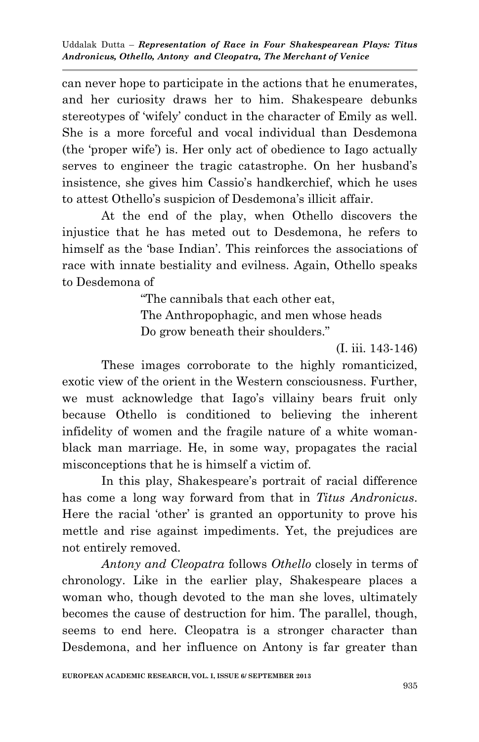can never hope to participate in the actions that he enumerates, and her curiosity draws her to him. Shakespeare debunks stereotypes of "wifely" conduct in the character of Emily as well. She is a more forceful and vocal individual than Desdemona (the "proper wife") is. Her only act of obedience to Iago actually serves to engineer the tragic catastrophe. On her husband"s insistence, she gives him Cassio's handkerchief, which he uses to attest Othello"s suspicion of Desdemona"s illicit affair.

At the end of the play, when Othello discovers the injustice that he has meted out to Desdemona, he refers to himself as the 'base Indian'. This reinforces the associations of race with innate bestiality and evilness. Again, Othello speaks to Desdemona of

"The cannibals that each other eat,

The Anthropophagic, and men whose heads Do grow beneath their shoulders."

(I. iii. 143-146)

These images corroborate to the highly romanticized, exotic view of the orient in the Western consciousness. Further, we must acknowledge that Iago's villainy bears fruit only because Othello is conditioned to believing the inherent infidelity of women and the fragile nature of a white womanblack man marriage. He, in some way, propagates the racial misconceptions that he is himself a victim of.

In this play, Shakespeare's portrait of racial difference has come a long way forward from that in *Titus Andronicus*. Here the racial 'other' is granted an opportunity to prove his mettle and rise against impediments. Yet, the prejudices are not entirely removed.

*Antony and Cleopatra* follows *Othello* closely in terms of chronology. Like in the earlier play, Shakespeare places a woman who, though devoted to the man she loves, ultimately becomes the cause of destruction for him. The parallel, though, seems to end here. Cleopatra is a stronger character than Desdemona, and her influence on Antony is far greater than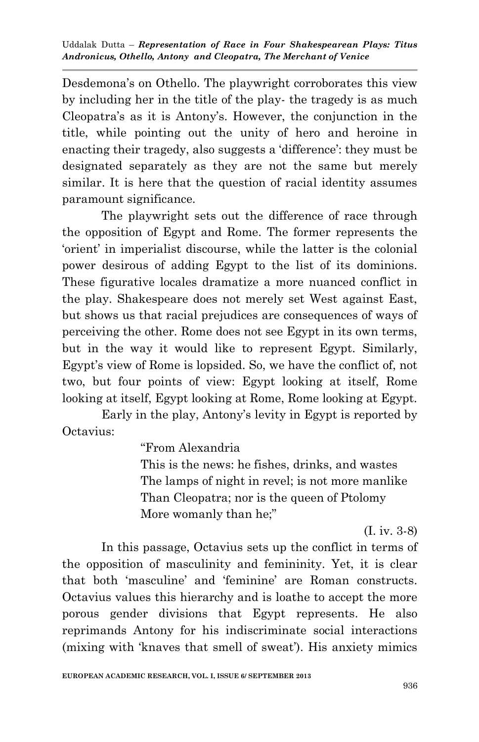Desdemona's on Othello. The playwright corroborates this view by including her in the title of the play- the tragedy is as much Cleopatra"s as it is Antony"s. However, the conjunction in the title, while pointing out the unity of hero and heroine in enacting their tragedy, also suggests a 'difference': they must be designated separately as they are not the same but merely similar. It is here that the question of racial identity assumes paramount significance.

The playwright sets out the difference of race through the opposition of Egypt and Rome. The former represents the "orient" in imperialist discourse, while the latter is the colonial power desirous of adding Egypt to the list of its dominions. These figurative locales dramatize a more nuanced conflict in the play. Shakespeare does not merely set West against East, but shows us that racial prejudices are consequences of ways of perceiving the other. Rome does not see Egypt in its own terms, but in the way it would like to represent Egypt. Similarly, Egypt's view of Rome is lopsided. So, we have the conflict of, not two, but four points of view: Egypt looking at itself, Rome looking at itself, Egypt looking at Rome, Rome looking at Egypt.

Early in the play, Antony's levity in Egypt is reported by Octavius:

"From Alexandria

This is the news: he fishes, drinks, and wastes The lamps of night in revel; is not more manlike Than Cleopatra; nor is the queen of Ptolomy More womanly than he;"

(I. iv. 3-8)

In this passage, Octavius sets up the conflict in terms of the opposition of masculinity and femininity. Yet, it is clear that both "masculine" and "feminine" are Roman constructs. Octavius values this hierarchy and is loathe to accept the more porous gender divisions that Egypt represents. He also reprimands Antony for his indiscriminate social interactions (mixing with 'knaves that smell of sweat'). His anxiety mimics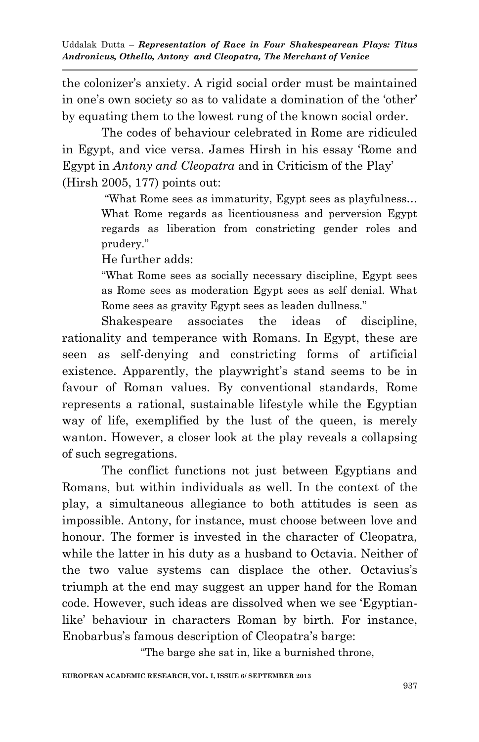the colonizer"s anxiety. A rigid social order must be maintained in one's own society so as to validate a domination of the 'other' by equating them to the lowest rung of the known social order.

The codes of behaviour celebrated in Rome are ridiculed in Egypt, and vice versa. James Hirsh in his essay "Rome and Egypt in *Antony and Cleopatra* and in Criticism of the Play" (Hirsh 2005, 177) points out:

> "What Rome sees as immaturity, Egypt sees as playfulness… What Rome regards as licentiousness and perversion Egypt regards as liberation from constricting gender roles and prudery."

He further adds:

"What Rome sees as socially necessary discipline, Egypt sees as Rome sees as moderation Egypt sees as self denial. What Rome sees as gravity Egypt sees as leaden dullness."

Shakespeare associates the ideas of discipline, rationality and temperance with Romans. In Egypt, these are seen as self-denying and constricting forms of artificial existence. Apparently, the playwright's stand seems to be in favour of Roman values. By conventional standards, Rome represents a rational, sustainable lifestyle while the Egyptian way of life, exemplified by the lust of the queen, is merely wanton. However, a closer look at the play reveals a collapsing of such segregations.

The conflict functions not just between Egyptians and Romans, but within individuals as well. In the context of the play, a simultaneous allegiance to both attitudes is seen as impossible. Antony, for instance, must choose between love and honour. The former is invested in the character of Cleopatra, while the latter in his duty as a husband to Octavia. Neither of the two value systems can displace the other. Octavius"s triumph at the end may suggest an upper hand for the Roman code. However, such ideas are dissolved when we see "Egyptianlike' behaviour in characters Roman by birth. For instance, Enobarbus's famous description of Cleopatra's barge:

"The barge she sat in, like a burnished throne,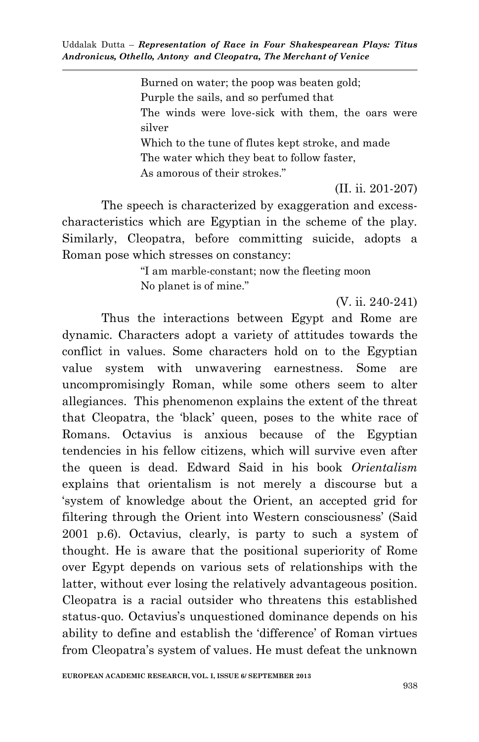Burned on water; the poop was beaten gold; Purple the sails, and so perfumed that The winds were love-sick with them, the oars were silver Which to the tune of flutes kept stroke, and made The water which they beat to follow faster, As amorous of their strokes."

(II. ii. 201-207)

The speech is characterized by exaggeration and excesscharacteristics which are Egyptian in the scheme of the play. Similarly, Cleopatra, before committing suicide, adopts a Roman pose which stresses on constancy:

> "I am marble-constant; now the fleeting moon No planet is of mine."

> > (V. ii. 240-241)

Thus the interactions between Egypt and Rome are dynamic. Characters adopt a variety of attitudes towards the conflict in values. Some characters hold on to the Egyptian value system with unwavering earnestness. Some are uncompromisingly Roman, while some others seem to alter allegiances. This phenomenon explains the extent of the threat that Cleopatra, the "black" queen, poses to the white race of Romans. Octavius is anxious because of the Egyptian tendencies in his fellow citizens, which will survive even after the queen is dead. Edward Said in his book *Orientalism* explains that orientalism is not merely a discourse but a "system of knowledge about the Orient, an accepted grid for filtering through the Orient into Western consciousness' (Said 2001 p.6). Octavius, clearly, is party to such a system of thought. He is aware that the positional superiority of Rome over Egypt depends on various sets of relationships with the latter, without ever losing the relatively advantageous position. Cleopatra is a racial outsider who threatens this established status-quo. Octavius's unquestioned dominance depends on his ability to define and establish the "difference" of Roman virtues from Cleopatra"s system of values. He must defeat the unknown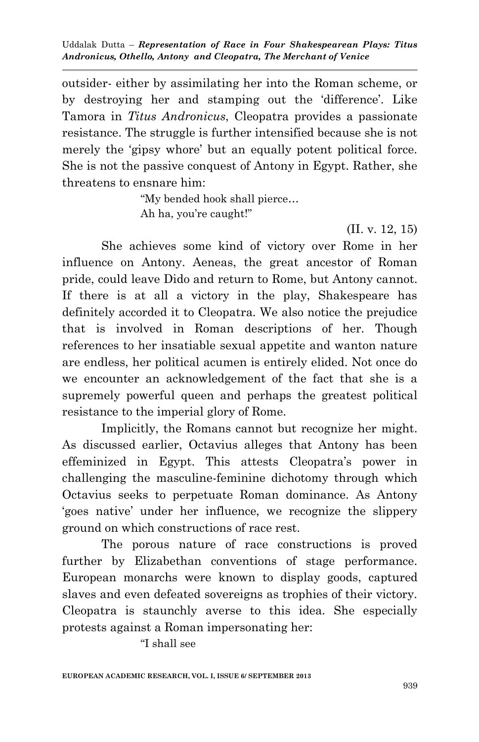outsider- either by assimilating her into the Roman scheme, or by destroying her and stamping out the "difference". Like Tamora in *Titus Andronicus*, Cleopatra provides a passionate resistance. The struggle is further intensified because she is not merely the "gipsy whore" but an equally potent political force. She is not the passive conquest of Antony in Egypt. Rather, she threatens to ensnare him:

> "My bended hook shall pierce… Ah ha, you"re caught!"

> > (II. v. 12, 15)

She achieves some kind of victory over Rome in her influence on Antony. Aeneas, the great ancestor of Roman pride, could leave Dido and return to Rome, but Antony cannot. If there is at all a victory in the play, Shakespeare has definitely accorded it to Cleopatra. We also notice the prejudice that is involved in Roman descriptions of her. Though references to her insatiable sexual appetite and wanton nature are endless, her political acumen is entirely elided. Not once do we encounter an acknowledgement of the fact that she is a supremely powerful queen and perhaps the greatest political resistance to the imperial glory of Rome.

Implicitly, the Romans cannot but recognize her might. As discussed earlier, Octavius alleges that Antony has been effeminized in Egypt. This attests Cleopatra's power in challenging the masculine-feminine dichotomy through which Octavius seeks to perpetuate Roman dominance. As Antony "goes native" under her influence, we recognize the slippery ground on which constructions of race rest.

The porous nature of race constructions is proved further by Elizabethan conventions of stage performance. European monarchs were known to display goods, captured slaves and even defeated sovereigns as trophies of their victory. Cleopatra is staunchly averse to this idea. She especially protests against a Roman impersonating her:

"I shall see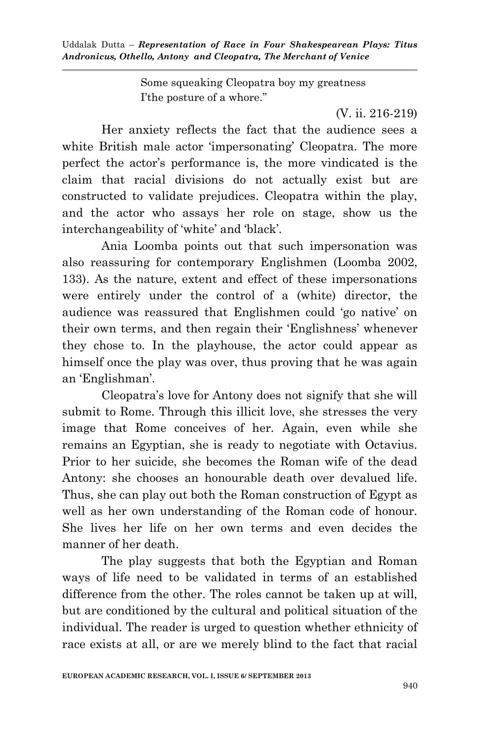> Some squeaking Cleopatra boy my greatness I"the posture of a whore."

> > (V. ii. 216-219)

Her anxiety reflects the fact that the audience sees a white British male actor 'impersonating' Cleopatra. The more perfect the actor"s performance is, the more vindicated is the claim that racial divisions do not actually exist but are constructed to validate prejudices. Cleopatra within the play, and the actor who assays her role on stage, show us the interchangeability of 'white' and 'black'.

Ania Loomba points out that such impersonation was also reassuring for contemporary Englishmen (Loomba 2002, 133). As the nature, extent and effect of these impersonations were entirely under the control of a (white) director, the audience was reassured that Englishmen could "go native" on their own terms, and then regain their "Englishness" whenever they chose to. In the playhouse, the actor could appear as himself once the play was over, thus proving that he was again an 'Englishman'.

Cleopatra"s love for Antony does not signify that she will submit to Rome. Through this illicit love, she stresses the very image that Rome conceives of her. Again, even while she remains an Egyptian, she is ready to negotiate with Octavius. Prior to her suicide, she becomes the Roman wife of the dead Antony: she chooses an honourable death over devalued life. Thus, she can play out both the Roman construction of Egypt as well as her own understanding of the Roman code of honour. She lives her life on her own terms and even decides the manner of her death.

The play suggests that both the Egyptian and Roman ways of life need to be validated in terms of an established difference from the other. The roles cannot be taken up at will, but are conditioned by the cultural and political situation of the individual. The reader is urged to question whether ethnicity of race exists at all, or are we merely blind to the fact that racial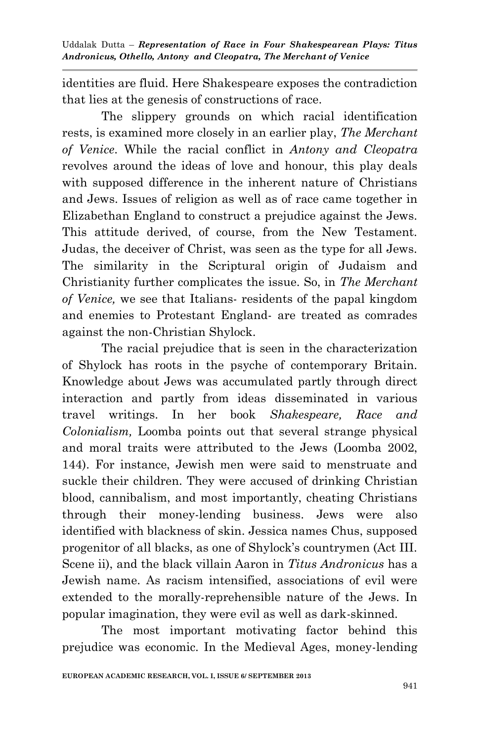identities are fluid. Here Shakespeare exposes the contradiction that lies at the genesis of constructions of race.

The slippery grounds on which racial identification rests, is examined more closely in an earlier play, *The Merchant of Venice*. While the racial conflict in *Antony and Cleopatra*  revolves around the ideas of love and honour, this play deals with supposed difference in the inherent nature of Christians and Jews. Issues of religion as well as of race came together in Elizabethan England to construct a prejudice against the Jews. This attitude derived, of course, from the New Testament. Judas, the deceiver of Christ, was seen as the type for all Jews. The similarity in the Scriptural origin of Judaism and Christianity further complicates the issue. So, in *The Merchant of Venice,* we see that Italians- residents of the papal kingdom and enemies to Protestant England- are treated as comrades against the non-Christian Shylock.

The racial prejudice that is seen in the characterization of Shylock has roots in the psyche of contemporary Britain. Knowledge about Jews was accumulated partly through direct interaction and partly from ideas disseminated in various travel writings. In her book *Shakespeare, Race and Colonialism,* Loomba points out that several strange physical and moral traits were attributed to the Jews (Loomba 2002, 144). For instance, Jewish men were said to menstruate and suckle their children. They were accused of drinking Christian blood, cannibalism, and most importantly, cheating Christians through their money-lending business. Jews were also identified with blackness of skin. Jessica names Chus, supposed progenitor of all blacks, as one of Shylock"s countrymen (Act III. Scene ii), and the black villain Aaron in *Titus Andronicus* has a Jewish name. As racism intensified, associations of evil were extended to the morally-reprehensible nature of the Jews. In popular imagination, they were evil as well as dark-skinned.

The most important motivating factor behind this prejudice was economic. In the Medieval Ages, money-lending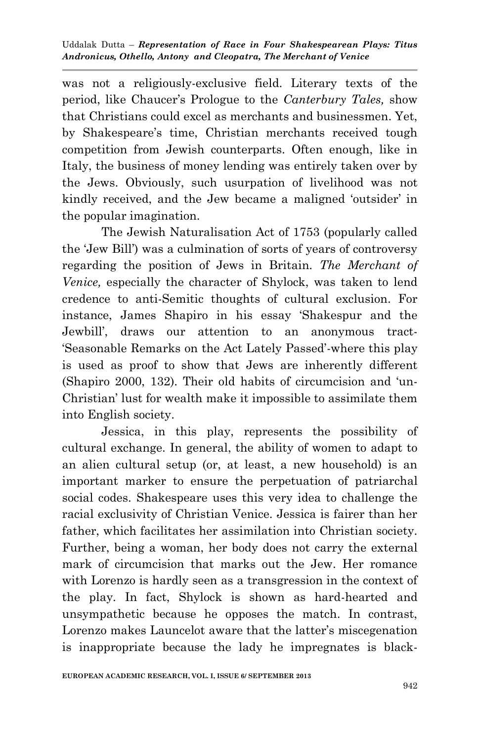was not a religiously-exclusive field. Literary texts of the period, like Chaucer"s Prologue to the *Canterbury Tales,* show that Christians could excel as merchants and businessmen. Yet, by Shakespeare's time, Christian merchants received tough competition from Jewish counterparts. Often enough, like in Italy, the business of money lending was entirely taken over by the Jews. Obviously, such usurpation of livelihood was not kindly received, and the Jew became a maligned 'outsider' in the popular imagination.

The Jewish Naturalisation Act of 1753 (popularly called the "Jew Bill") was a culmination of sorts of years of controversy regarding the position of Jews in Britain. *The Merchant of Venice,* especially the character of Shylock, was taken to lend credence to anti-Semitic thoughts of cultural exclusion. For instance, James Shapiro in his essay "Shakespur and the Jewbill", draws our attention to an anonymous tract- "Seasonable Remarks on the Act Lately Passed"-where this play is used as proof to show that Jews are inherently different (Shapiro 2000, 132). Their old habits of circumcision and "un-Christian" lust for wealth make it impossible to assimilate them into English society.

Jessica, in this play, represents the possibility of cultural exchange. In general, the ability of women to adapt to an alien cultural setup (or, at least, a new household) is an important marker to ensure the perpetuation of patriarchal social codes. Shakespeare uses this very idea to challenge the racial exclusivity of Christian Venice. Jessica is fairer than her father, which facilitates her assimilation into Christian society. Further, being a woman, her body does not carry the external mark of circumcision that marks out the Jew. Her romance with Lorenzo is hardly seen as a transgression in the context of the play. In fact, Shylock is shown as hard-hearted and unsympathetic because he opposes the match. In contrast, Lorenzo makes Launcelot aware that the latter's miscegenation is inappropriate because the lady he impregnates is black-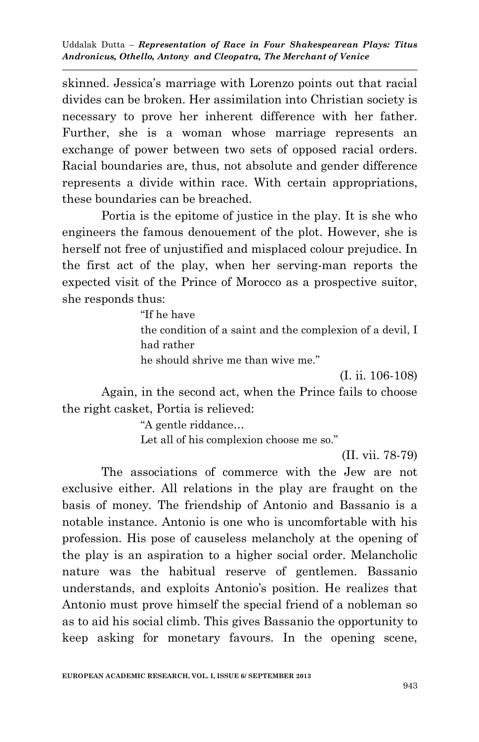skinned. Jessica"s marriage with Lorenzo points out that racial divides can be broken. Her assimilation into Christian society is necessary to prove her inherent difference with her father. Further, she is a woman whose marriage represents an exchange of power between two sets of opposed racial orders. Racial boundaries are, thus, not absolute and gender difference represents a divide within race. With certain appropriations, these boundaries can be breached.

Portia is the epitome of justice in the play. It is she who engineers the famous denouement of the plot. However, she is herself not free of unjustified and misplaced colour prejudice. In the first act of the play, when her serving-man reports the expected visit of the Prince of Morocco as a prospective suitor, she responds thus:

> "If he have the condition of a saint and the complexion of a devil, I had rather he should shrive me than wive me."

> > (I. ii. 106-108)

Again, in the second act, when the Prince fails to choose the right casket, Portia is relieved:

"A gentle riddance…

Let all of his complexion choose me so."

(II. vii. 78-79)

The associations of commerce with the Jew are not exclusive either. All relations in the play are fraught on the basis of money. The friendship of Antonio and Bassanio is a notable instance. Antonio is one who is uncomfortable with his profession. His pose of causeless melancholy at the opening of the play is an aspiration to a higher social order. Melancholic nature was the habitual reserve of gentlemen. Bassanio understands, and exploits Antonio's position. He realizes that Antonio must prove himself the special friend of a nobleman so as to aid his social climb. This gives Bassanio the opportunity to keep asking for monetary favours. In the opening scene,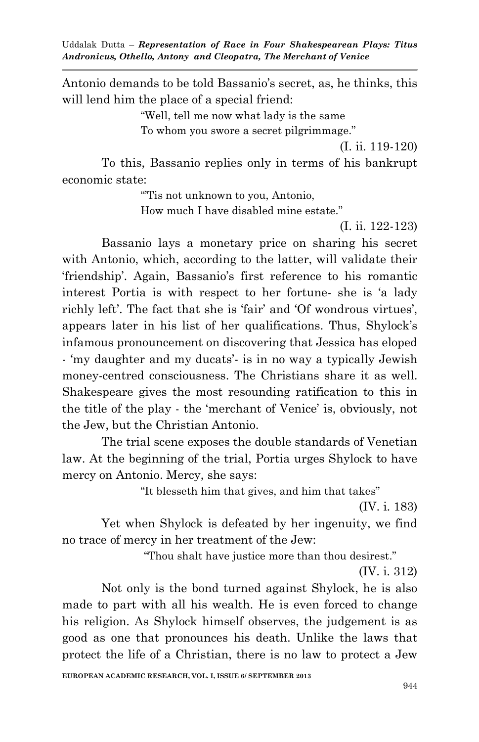Antonio demands to be told Bassanio's secret, as, he thinks, this will lend him the place of a special friend:

"Well, tell me now what lady is the same

To whom you swore a secret pilgrimmage."

(I. ii. 119-120)

To this, Bassanio replies only in terms of his bankrupt economic state:

""Tis not unknown to you, Antonio,

How much I have disabled mine estate."

(I. ii. 122-123)

Bassanio lays a monetary price on sharing his secret with Antonio, which, according to the latter, will validate their "friendship". Again, Bassanio"s first reference to his romantic interest Portia is with respect to her fortune- she is "a lady richly left'. The fact that she is 'fair' and 'Of wondrous virtues', appears later in his list of her qualifications. Thus, Shylock"s infamous pronouncement on discovering that Jessica has eloped - 'my daughter and my ducats' is in no way a typically Jewish money-centred consciousness. The Christians share it as well. Shakespeare gives the most resounding ratification to this in the title of the play - the 'merchant of Venice' is, obviously, not the Jew, but the Christian Antonio.

The trial scene exposes the double standards of Venetian law. At the beginning of the trial, Portia urges Shylock to have mercy on Antonio. Mercy, she says:

"It blesseth him that gives, and him that takes"

(IV. i. 183)

Yet when Shylock is defeated by her ingenuity, we find no trace of mercy in her treatment of the Jew:

"Thou shalt have justice more than thou desirest."

(IV. i. 312)

Not only is the bond turned against Shylock, he is also made to part with all his wealth. He is even forced to change his religion. As Shylock himself observes, the judgement is as good as one that pronounces his death. Unlike the laws that protect the life of a Christian, there is no law to protect a Jew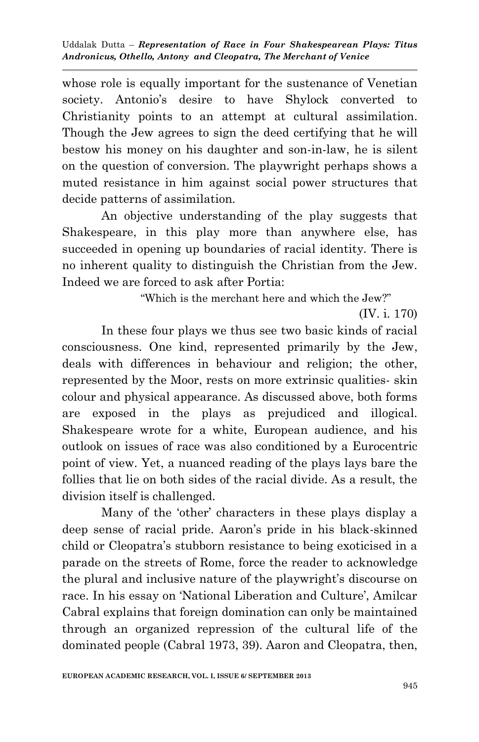whose role is equally important for the sustenance of Venetian society. Antonio's desire to have Shylock converted to Christianity points to an attempt at cultural assimilation. Though the Jew agrees to sign the deed certifying that he will bestow his money on his daughter and son-in-law, he is silent on the question of conversion. The playwright perhaps shows a muted resistance in him against social power structures that decide patterns of assimilation.

An objective understanding of the play suggests that Shakespeare, in this play more than anywhere else, has succeeded in opening up boundaries of racial identity. There is no inherent quality to distinguish the Christian from the Jew. Indeed we are forced to ask after Portia:

"Which is the merchant here and which the Jew?"

(IV. i. 170)

In these four plays we thus see two basic kinds of racial consciousness. One kind, represented primarily by the Jew, deals with differences in behaviour and religion; the other, represented by the Moor, rests on more extrinsic qualities- skin colour and physical appearance. As discussed above, both forms are exposed in the plays as prejudiced and illogical. Shakespeare wrote for a white, European audience, and his outlook on issues of race was also conditioned by a Eurocentric point of view. Yet, a nuanced reading of the plays lays bare the follies that lie on both sides of the racial divide. As a result, the division itself is challenged.

Many of the "other" characters in these plays display a deep sense of racial pride. Aaron"s pride in his black-skinned child or Cleopatra"s stubborn resistance to being exoticised in a parade on the streets of Rome, force the reader to acknowledge the plural and inclusive nature of the playwright's discourse on race. In his essay on 'National Liberation and Culture', Amilcar Cabral explains that foreign domination can only be maintained through an organized repression of the cultural life of the dominated people (Cabral 1973, 39). Aaron and Cleopatra, then,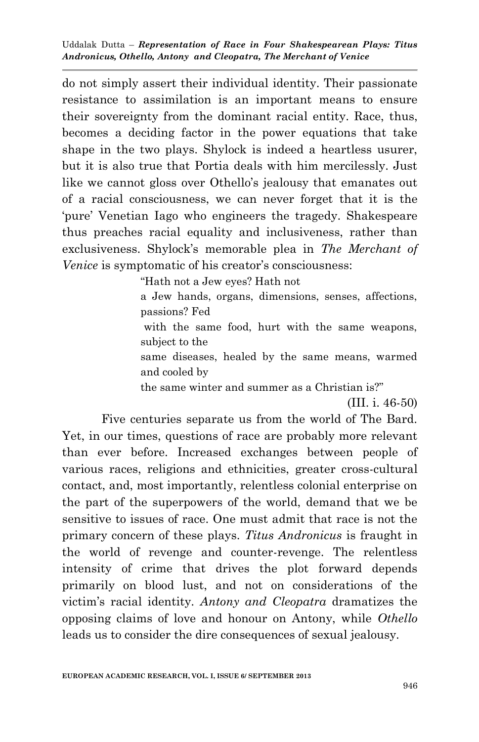do not simply assert their individual identity. Their passionate resistance to assimilation is an important means to ensure their sovereignty from the dominant racial entity. Race, thus, becomes a deciding factor in the power equations that take shape in the two plays. Shylock is indeed a heartless usurer, but it is also true that Portia deals with him mercilessly. Just like we cannot gloss over Othello"s jealousy that emanates out of a racial consciousness, we can never forget that it is the "pure" Venetian Iago who engineers the tragedy. Shakespeare thus preaches racial equality and inclusiveness, rather than exclusiveness. Shylock"s memorable plea in *The Merchant of Venice* is symptomatic of his creator's consciousness:

"Hath not a Jew eyes? Hath not

a Jew hands, organs, dimensions, senses, affections, passions? Fed

with the same food, hurt with the same weapons, subject to the

same diseases, healed by the same means, warmed and cooled by

the same winter and summer as a Christian is?"

(III. i. 46-50)

Five centuries separate us from the world of The Bard. Yet, in our times, questions of race are probably more relevant than ever before. Increased exchanges between people of various races, religions and ethnicities, greater cross-cultural contact, and, most importantly, relentless colonial enterprise on the part of the superpowers of the world, demand that we be sensitive to issues of race. One must admit that race is not the primary concern of these plays. *Titus Andronicus* is fraught in the world of revenge and counter-revenge. The relentless intensity of crime that drives the plot forward depends primarily on blood lust, and not on considerations of the victim"s racial identity. *Antony and Cleopatra* dramatizes the opposing claims of love and honour on Antony, while *Othello* leads us to consider the dire consequences of sexual jealousy.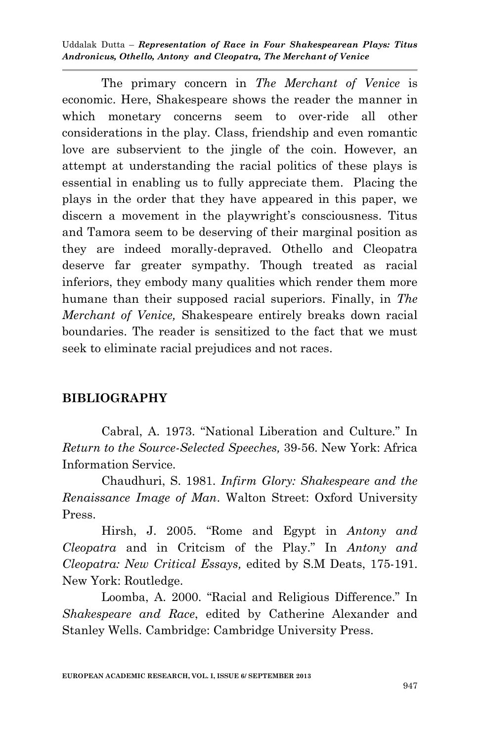The primary concern in *The Merchant of Venice* is economic. Here, Shakespeare shows the reader the manner in which monetary concerns seem to over-ride all other considerations in the play. Class, friendship and even romantic love are subservient to the jingle of the coin. However, an attempt at understanding the racial politics of these plays is essential in enabling us to fully appreciate them. Placing the plays in the order that they have appeared in this paper, we discern a movement in the playwright's consciousness. Titus and Tamora seem to be deserving of their marginal position as they are indeed morally-depraved. Othello and Cleopatra deserve far greater sympathy. Though treated as racial inferiors, they embody many qualities which render them more humane than their supposed racial superiors. Finally, in *The Merchant of Venice,* Shakespeare entirely breaks down racial boundaries. The reader is sensitized to the fact that we must seek to eliminate racial prejudices and not races.

## **BIBLIOGRAPHY**

Cabral, A. 1973. "National Liberation and Culture." In *Return to the Source-Selected Speeches,* 39-56. New York: Africa Information Service.

Chaudhuri, S. 1981. *Infirm Glory: Shakespeare and the Renaissance Image of Man*. Walton Street: Oxford University Press.

Hirsh, J. 2005. "Rome and Egypt in *Antony and Cleopatra* and in Critcism of the Play." In *Antony and Cleopatra: New Critical Essays,* edited by S.M Deats, 175-191. New York: Routledge.

Loomba, A. 2000. "Racial and Religious Difference." In *Shakespeare and Race*, edited by Catherine Alexander and Stanley Wells. Cambridge: Cambridge University Press.